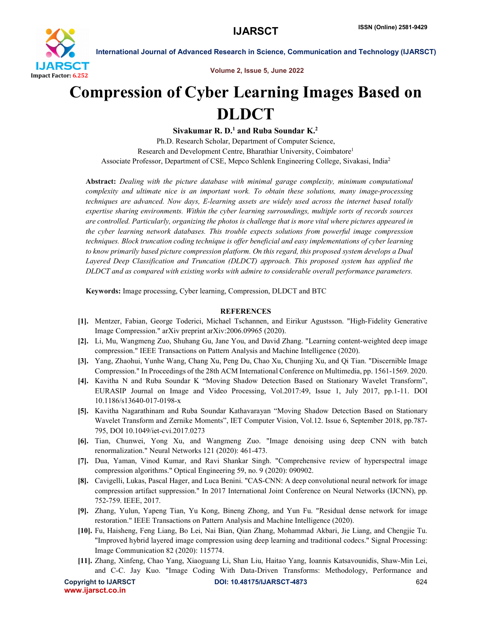

International Journal of Advanced Research in Science, Communication and Technology (IJARSCT)

Volume 2, Issue 5, June 2022

## Compression of Cyber Learning Images Based on DLDCT

Sivakumar R. D.<sup>1</sup> and Ruba Soundar K.<sup>2</sup> Ph.D. Research Scholar, Department of Computer Science, Research and Development Centre, Bharathiar University, Coimbatore1 Associate Professor, Department of CSE, Mepco Schlenk Engineering College, Sivakasi, India2

Abstract: *Dealing with the picture database with minimal garage complexity, minimum computational complexity and ultimate nice is an important work. To obtain these solutions, many image-processing techniques are advanced. Now days, E-learning assets are widely used across the internet based totally expertise sharing environments. Within the cyber learning surroundings, multiple sorts of records sources are controlled. Particularly, organizing the photos is challenge that is more vital where pictures appeared in the cyber learning network databases. This trouble expects solutions from powerful image compression techniques. Block truncation coding technique is offer beneficial and easy implementations of cyber learning to know primarily based picture compression platform. On this regard, this proposed system develops a Dual Layered Deep Classification and Truncation (DLDCT) approach. This proposed system has applied the DLDCT and as compared with existing works with admire to considerable overall performance parameters.*

Keywords: Image processing, Cyber learning, Compression, DLDCT and BTC

## **REFERENCES**

- [1]. Mentzer, Fabian, George Toderici, Michael Tschannen, and Eirikur Agustsson. "High-Fidelity Generative Image Compression." arXiv preprint arXiv:2006.09965 (2020).
- [2]. Li, Mu, Wangmeng Zuo, Shuhang Gu, Jane You, and David Zhang. "Learning content-weighted deep image compression." IEEE Transactions on Pattern Analysis and Machine Intelligence (2020).
- [3]. Yang, Zhaohui, Yunhe Wang, Chang Xu, Peng Du, Chao Xu, Chunjing Xu, and Qi Tian. "Discernible Image Compression." In Proceedings of the 28th ACM International Conference on Multimedia, pp. 1561-1569. 2020.
- [4]. Kavitha N and Ruba Soundar K "Moving Shadow Detection Based on Stationary Wavelet Transform", EURASIP Journal on Image and Video Processing, Vol.2017:49, Issue 1, July 2017, pp.1-11. DOI 10.1186/s13640-017-0198-x
- [5]. Kavitha Nagarathinam and Ruba Soundar Kathavarayan "Moving Shadow Detection Based on Stationary Wavelet Transform and Zernike Moments", IET Computer Vision, Vol.12. Issue 6, September 2018, pp.787- 795, DOI 10.1049/iet-cvi.2017.0273
- [6]. Tian, Chunwei, Yong Xu, and Wangmeng Zuo. "Image denoising using deep CNN with batch renormalization." Neural Networks 121 (2020): 461-473.
- [7]. Dua, Yaman, Vinod Kumar, and Ravi Shankar Singh. "Comprehensive review of hyperspectral image compression algorithms." Optical Engineering 59, no. 9 (2020): 090902.
- [8]. Cavigelli, Lukas, Pascal Hager, and Luca Benini. "CAS-CNN: A deep convolutional neural network for image compression artifact suppression." In 2017 International Joint Conference on Neural Networks (IJCNN), pp. 752-759. IEEE, 2017.
- [9]. Zhang, Yulun, Yapeng Tian, Yu Kong, Bineng Zhong, and Yun Fu. "Residual dense network for image restoration." IEEE Transactions on Pattern Analysis and Machine Intelligence (2020).
- [10]. Fu, Haisheng, Feng Liang, Bo Lei, Nai Bian, Qian Zhang, Mohammad Akbari, Jie Liang, and Chengjie Tu. "Improved hybrid layered image compression using deep learning and traditional codecs." Signal Processing: Image Communication 82 (2020): 115774.
- [11]. Zhang, Xinfeng, Chao Yang, Xiaoguang Li, Shan Liu, Haitao Yang, Ioannis Katsavounidis, Shaw-Min Lei, and C-C. Jay Kuo. "Image Coding With Data-Driven Transforms: Methodology, Performance and

www.ijarsct.co.in